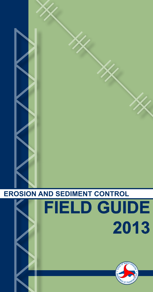

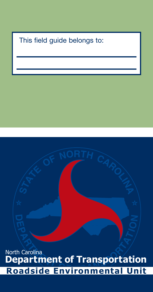#### This field guide belongs to:

**<sup>E</sup>PARTMEN<sup>T</sup> <sup>O</sup><sup>F</sup> <sup>T</sup>RANSPORTAT<sup>I</sup>O<sup>N</sup> Roadside Environmental Unit Department of Transportation** North Carolina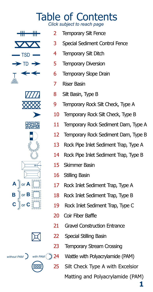#### Table of Contents *Click subject to reach page*

<span id="page-2-0"></span>









- [2 Temporary Silt Fence](#page-3-0)
- [3 Special Sediment Control Fence](#page-4-0)
- [4 Temporary Silt Ditch](#page-5-0)
- [5 Temporary Diversion](#page-6-0)
- [6 Temporary Slope Drain](#page-7-0)
- [7 Riser Basin](#page-8-0)
- [8 Silt Basin, Type B](#page-9-0)
- [9 Temporary Rock Silt Check, Type A](#page-10-0)
- [10 Temporary Rock Silt Check, Type B](#page-11-0)
- [11 Temporary Rock Sediment Dam, Type A](#page-12-0)
- [12 Temporary Rock Sediment Dam, Type B](#page-13-0)
- [13 Rock Pipe Inlet Sediment Trap, Type A](#page-14-0)
- [14 Rock Pipe Inlet Sediment Trap, Type B](#page-15-0)
- [15 Skimmer Basin](#page-16-0)
- [16 Stilling Basin](#page-17-0)
- [17 Rock Inlet Sediment Trap, Type A](#page-18-0)
- [18 Rock Inlet Sediment Trap, Type B](#page-19-0)
- [19 Rock Inlet Sediment Trap, Type C](#page-20-0)
- [20 Coir Fiber Baffle](#page-21-0)
- [21 Gravel Construction Entrance](#page-22-0)
- [22 Special Stilling Basin](#page-23-0)
- [23 Temporary Stream Crossing](#page-24-0)
- [24 Wattle with Polyacrylamide \(PAM\)](#page-25-0)
	- [25 Silt Check Type A with Excelsior](#page-26-0)

Matting and Polyacrylamide (PAM)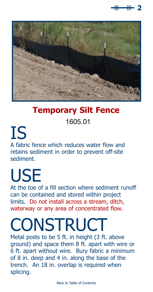

<span id="page-3-0"></span>

#### **Temporary Silt Fence**

1605.01

### IS A fabric fence which reduces water flow and retains sediment in order to prevent off-site sediment.

## USE

At the toe of a fill section where sediment runoff can be contained and stored within project limits. Do not install across a stream, ditch, waterway or any area of concentrated flow.

### **CONSTRUCT**

Metal posts to be 5 ft. in height (3 ft. above ground) and space them 8 ft. apart with wire or 6 ft. apart without wire. Bury fabric a minimum of 8 in. deep and 4 in. along the base of the trench. An 18 in. overlap is required when splicing.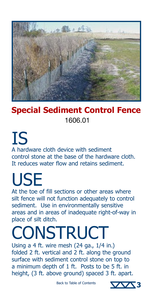<span id="page-4-0"></span>

### **Special Sediment Control Fence** 1606.01

#### IS A hardware cloth device with sediment control stone at the base of the hardware cloth. It reduces water flow and retains sediment.

## USE

At the toe of fill sections or other areas where silt fence will not function adequately to control sediment. Use in environmentally sensitive areas and in areas of inadequate right-of-way in place of silt ditch.

## **CONSTRUCT**

Using a 4 ft. wire mesh (24 ga., 1/4 in.) folded 2 ft. vertical and 2 ft. along the ground surface with sediment control stone on top to a minimum depth of 1 ft. Posts to be 5 ft. in height, (3 ft. above ground) spaced 3 ft. apart.

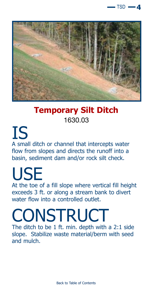

<span id="page-5-0"></span>

#### **Temporary Silt Ditch** 1630.03

IS A small ditch or channel that intercepts water flow from slopes and directs the runoff into a basin, sediment dam and/or rock silt check.

# USE

At the toe of a fill slope where vertical fill height exceeds 3 ft. or along a stream bank to divert water flow into a controlled outlet.

### **CONSTRUCT**

The ditch to be 1 ft. min. depth with a 2:1 side slope. Stabilize waste material/berm with seed and mulch.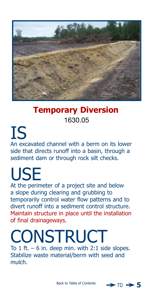<span id="page-6-0"></span>

### **Temporary Diversion** 1630.05

IS An excavated channel with a berm on its lower side that directs runoff into a basin, through a sediment dam or through rock silt checks.

## USE

At the perimeter of a project site and below a slope during clearing and grubbing to temporarily control water flow patterns and to divert runoff into a sediment control structure. Maintain structure in place until the installation of final drainageways.

### **CONSTRUCT** To  $1$  ft. – 6 in. deep min. with  $2:1$  side slopes.

Stabilize waste material/berm with seed and mulch.

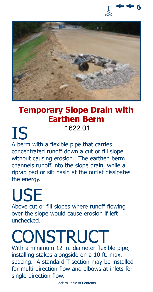

<span id="page-7-0"></span>

#### **Temporary Slope Drain with Earthen Berm** 1622.01

IS A berm with a flexible pipe that carries concentrated runoff down a cut or fill slope without causing erosion. The earthen berm channels runoff into the slope drain, while a riprap pad or silt basin at the outlet dissipates the energy.

## USE

Above cut or fill slopes where runoff flowing over the slope would cause erosion if left unchecked.

### **CONSTRUCT**

With a minimum 12 in. diameter flexible pipe, installing stakes alongside on a 10 ft. max. spacing. A standard T-section may be installed for multi-direction flow and elbows at inlets for single-direction flow.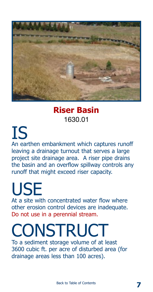<span id="page-8-0"></span>

#### **Riser Basin** 1630.01

IS An earthen embankment which captures runoff leaving a drainage turnout that serves a large project site drainage area. A riser pipe drains the basin and an overflow spillway controls any runoff that might exceed riser capacity.

USE At a site with concentrated water flow where other erosion control devices are inadequate. Do not use in a perennial stream.

### **CONSTRUCT**

To a sediment storage volume of at least 3600 cubic ft. per acre of disturbed area (for drainage areas less than 100 acres).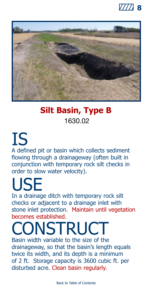

<span id="page-9-0"></span>

### **Silt Basin, Type B** 1630.02

### IS A defined pit or basin which collects sediment flowing through a drainageway (often built in conjunction with temporary rock silt checks in order to slow water velocity).

USE In a drainage ditch with temporary rock silt checks or adjacent to a drainage inlet with stone inlet protection. Maintain until vegetation becomes established.

## **NSTRUCT**

Basin width variable to the size of the drainageway, so that the basin's length equals twice its width, and its depth is a minimum of 2 ft. Storage capacity is 3600 cubic ft. per disturbed acre. Clean basin regularly.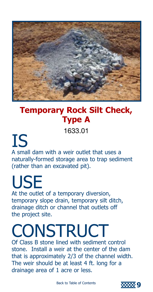<span id="page-10-0"></span>

### **Temporary Rock Silt Check, Type A**

1633.01

IS A small dam with a weir outlet that uses a naturally-formed storage area to trap sediment (rather than an excavated pit).

## USE

At the outlet of a temporary diversion, temporary slope drain, temporary silt ditch, drainage ditch or channel that outlets off the project site.

### **CONSTRUCT**

Of Class B stone lined with sediment control stone. Install a weir at the center of the dam that is approximately 2/3 of the channel width. The weir should be at least 4 ft. long for a drainage area of 1 acre or less.

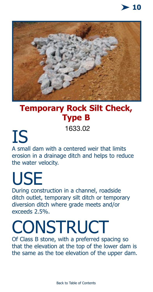

<span id="page-11-0"></span>

### **Temporary Rock Silt Check, Type B**

1633.02

IS A small dam with a centered weir that limits erosion in a drainage ditch and helps to reduce the water velocity.

## USE

During construction in a channel, roadside ditch outlet, temporary silt ditch or temporary diversion ditch where grade meets and/or exceeds 2.5%.

### **CONSTRUCT**

Of Class B stone, with a preferred spacing so that the elevation at the top of the lower dam is the same as the toe elevation of the upper dam.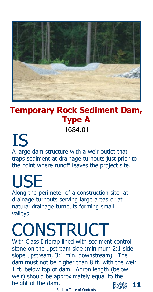<span id="page-12-0"></span>

### **Temporary Rock Sediment Dam, Type A**

1634.01

#### IS A large dam structure with a weir outlet that traps sediment at drainage turnouts just prior to the point where runoff leaves the project site.

## USE

Along the perimeter of a construction site, at drainage turnouts serving large areas or at natural drainage turnouts forming small valleys.

## **CONSTRUCT**

With Class I riprap lined with sediment control stone on the upstream side (minimum 2:1 side slope upstream, 3:1 min. downstream). The dam must not be higher than 8 ft. with the weir 1 ft. below top of dam. Apron length (below weir) should be approximately equal to the height of the dam.

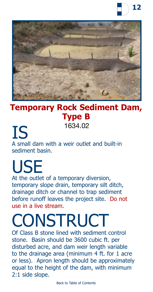

<span id="page-13-0"></span>

#### **Temporary Rock Sediment Dam, Type B** 1634.02

IS A small dam with a weir outlet and built-in sediment basin.

## USE

At the outlet of a temporary diversion, temporary slope drain, temporary silt ditch, drainage ditch or channel to trap sediment before runoff leaves the project site. Do not use in a live stream.

### CONSTRUCT

Of Class B stone lined with sediment control stone. Basin should be 3600 cubic ft. per disturbed acre, and dam weir length variable to the drainage area (minimum 4 ft. for 1 acre or less). Apron length should be approximately equal to the height of the dam, with minimum 2:1 side slope.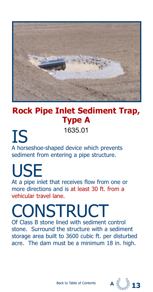<span id="page-14-0"></span>

### **Rock Pipe Inlet Sediment Trap, Type A**

IS A horseshoe-shaped device which prevents sediment from entering a pipe structure. 1635.01

#### USE At a pipe inlet that receives flow from one or more directions and is at least 30 ft. from a vehicular travel lane.

**CONSTRUCT** Of Class B stone lined with sediment control

stone. Surround the structure with a sediment storage area built to 3600 cubic ft. per disturbed acre. The dam must be a minimum 18 in. high.

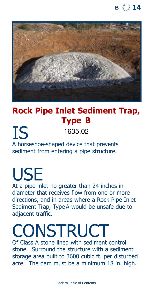<span id="page-15-0"></span>

### **Rock Pipe Inlet Sediment Trap, Type B**

IS A horseshoe-shaped device that prevents sediment from entering a pipe structure. 1635.02

## USE

At a pipe inlet no greater than 24 inches in diameter that receives flow from one or more directions, and in areas where a Rock Pipe Inlet Sediment Trap, Type A would be unsafe due to adjacent traffic.

### **CONSTRUCT**

Of Class A stone lined with sediment control stone. Surround the structure with a sediment storage area built to 3600 cubic ft. per disturbed acre. The dam must be a minimum 18 in. high.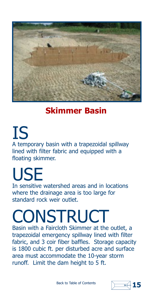<span id="page-16-0"></span>

### **Skimmer Basin**

IS A temporary basin with a trapezoidal spillway lined with filter fabric and equipped with a floating skimmer.

## USE

In sensitive watershed areas and in locations where the drainage area is too large for standard rock weir outlet.

## **CONSTRUCT**

Basin with a Faircloth Skimmer at the outlet, a trapezoidal emergency spillway lined with filter fabric, and 3 coir fiber baffles. Storage capacity is 1800 cubic ft. per disturbed acre and surface area must accommodate the 10-year storm runoff. Limit the dam height to 5 ft.

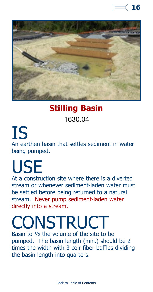

<span id="page-17-0"></span>

#### **Stilling Basin**

#### 1630.04

IS An earthen basin that settles sediment in water being pumped.

## USE

At a construction site where there is a diverted stream or whenever sediment-laden water must be settled before being returned to a natural stream. Never pump sediment-laden water directly into a stream.

## **CONSTRUCT**

Basin to ½ the volume of the site to be pumped. The basin length (min.) should be 2 times the width with 3 coir fiber baffles dividing the basin length into quarters.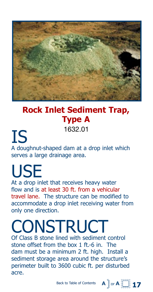<span id="page-18-0"></span>

### **Rock Inlet Sediment Trap, Type A**

1632.01

IS A doughnut-shaped dam at a drop inlet which serves a large drainage area.

## **USE**

At a drop inlet that receives heavy water flow and is at least 30 ft. from a vehicular travel lane. The structure can be modified to accommodate a drop inlet receiving water from only one direction.

### **CONSTRUCT**

Of Class B stone lined with sediment control stone offset from the box 1 ft.-6 in. The dam must be a minimum 2 ft. high. Install a sediment storage area around the structure's perimeter built to 3600 cubic ft. per disturbed acre.

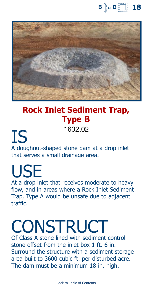

<span id="page-19-0"></span>

### **Rock Inlet Sediment Trap, Type B**

1632.02

IS A doughnut-shaped stone dam at a drop inlet that serves a small drainage area.

**USE** At a drop inlet that receives moderate to heavy flow, and in areas where a Rock Inlet Sediment Trap, Type A would be unsafe due to adjacent traffic.

### **CONSTRUCT**

Of Class A stone lined with sediment control stone offset from the inlet box 1 ft. 6 in. Surround the structure with a sediment storage area built to 3600 cubic ft. per disturbed acre. The dam must be a minimum 18 in. high.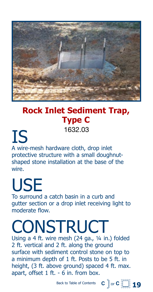<span id="page-20-0"></span>

### **Rock Inlet Sediment Trap, Type C**

1632.03

IS A wire-mesh hardware cloth, drop inlet protective structure with a small doughnutshaped stone installation at the base of the wire.

## USE

To surround a catch basin in a curb and gutter section or a drop inlet receiving light to moderate flow.

### **CONSTRUCT**

Using a 4 ft. wire mesh (24 ga., ¼ in.) folded 2 ft. vertical and 2 ft. along the ground surface with sediment control stone on top to a minimum depth of 1 ft. Posts to be 5 ft. in height, (3 ft. above ground) spaced 4 ft. max. apart, offset 1 ft. - 6 in. from box.

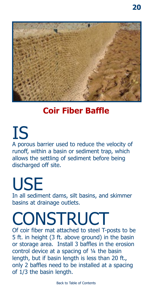<span id="page-21-0"></span>

### **Coir Fiber Baffle**

IS A porous barrier used to reduce the velocity of runoff, within a basin or sediment trap, which allows the settling of sediment before being discharged off site.

**USE** In all sediment dams, silt basins, and skimmer basins at drainage outlets.

### **CONSTRUCT**

Of coir fiber mat attached to steel T-posts to be 5 ft. in height (3 ft. above ground) in the basin or storage area. Install 3 baffles in the erosion control device at a spacing of ¼ the basin length, but if basin length is less than 20 ft., only 2 baffles need to be installed at a spacing of 1/3 the basin length.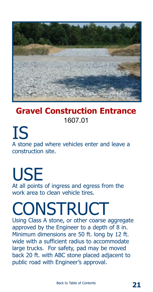<span id="page-22-0"></span>

### **Gravel Construction Entrance** 1607.01

IS A stone pad where vehicles enter and leave a construction site.

### USE At all points of ingress and egress from the work area to clean vehicle tires.

## **CONSTRUCT**

Using Class A stone, or other coarse aggregate approved by the Engineer to a depth of 8 in. Minimum dimensions are 50 ft. long by 12 ft. wide with a sufficient radius to accommodate large trucks. For safety, pad may be moved back 20 ft. with ABC stone placed adjacent to public road with Engineer's approval.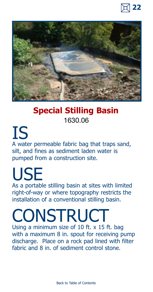

<span id="page-23-0"></span>

#### **Special Stilling Basin** 1630.06

IS A water permeable fabric bag that traps sand, silt, and fines as sediment laden water is pumped from a construction site.

### USE As a portable stilling basin at sites with limited

right-of-way or where topography restricts the installation of a conventional stilling basin.

## **CONSTRUCT**

Using a minimum size of 10 ft. x 15 ft. bag with a maximum 8 in. spout for receiving pump discharge. Place on a rock pad lined with filter fabric and 8 in. of sediment control stone.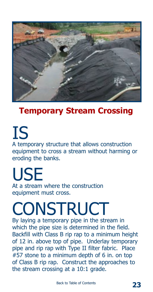<span id="page-24-0"></span>

### **Temporary Stream Crossing**

IS A temporary structure that allows construction equipment to cross a stream without harming or eroding the banks.

USE At a stream where the construction equipment must cross.

## **CONSTRUCT**

By laying a temporary pipe in the stream in which the pipe size is determined in the field. Backfill with Class B rip rap to a minimum height of 12 in. above top of pipe. Underlay temporary pipe and rip rap with Type II filter fabric. Place #57 stone to a minimum depth of 6 in. on top of Class B rip rap. Construct the approaches to the stream crossing at a 10:1 grade.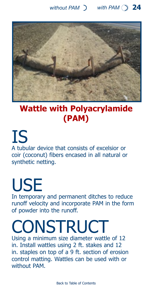<span id="page-25-0"></span>

### **Wattle with Polyacrylamide (PAM)**

IS A tubular device that consists of excelsior or coir (coconut) fibers encased in all natural or synthetic netting.

## USE

In temporary and permanent ditches to reduce runoff velocity and incorporate PAM in the form of powder into the runoff.

### **CONSTRUCT**

Using a minimum size diameter wattle of 12 in. Install wattles using 2 ft. stakes and 12 in. staples on top of a 9 ft. section of erosion control matting. Wattles can be used with or without PAM.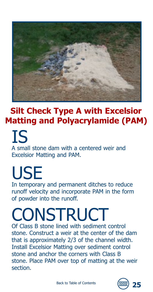<span id="page-26-0"></span>

### **Silt Check Type A with Excelsior Matting and Polyacrylamide (PAM)**

IS A small stone dam with a centered weir and Excelsior Matting and PAM.

USE In temporary and permanent ditches to reduce runoff velocity and incorporate PAM in the form of powder into the runoff.

## **CONSTRUCT**

Of Class B stone lined with sediment control stone. Construct a weir at the center of the dam that is approximately 2/3 of the channel width. Install Excelsior Matting over sediment control stone and anchor the corners with Class B stone. Place PAM over top of matting at the weir section.